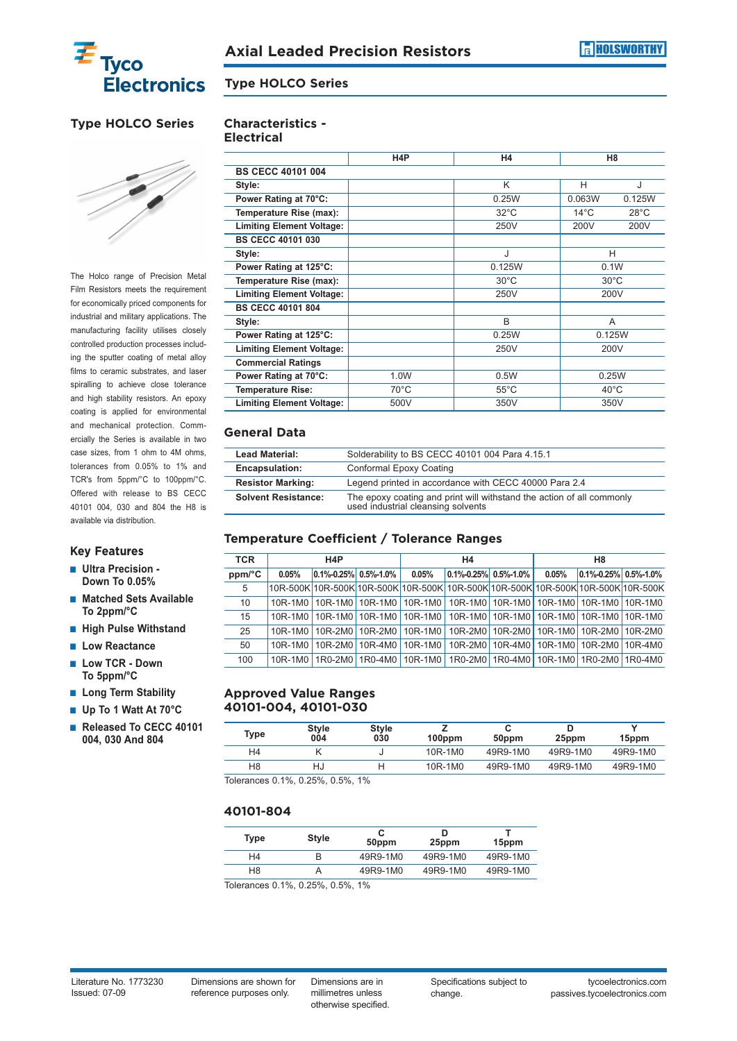

#### **Type HOLCO Series**

## **Type HOLCO Series**



The Holco range of Precision Metal Film Resistors meets the requirement for economically priced components for industrial and military applications. The manufacturing facility utilises closely controlled production processes including the sputter coating of metal alloy films to ceramic substrates, and laser spiralling to achieve close tolerance and high stability resistors. An epoxy coating is applied for environmental and mechanical protection. Commercially the Series is available in two case sizes, from 1 ohm to 4M ohms, tolerances from 0.05% to 1% and TCR's from 5ppm/°C to 100ppm/°C. Offered with release to BS CECC 40101 004, 030 and 804 the H8 is available via distribution.

#### **Key Features**

- **Ultra Precision** -**Down To 0.05%**
- **Matched Sets Available To 2ppm/°C**
- **High Pulse Withstand**
- **Low Reactance**
- Low TCR Down **To 5ppm/°C**
- Long Term Stability
- **Up To 1 Watt At 70°C**
- **Released To CECC 40101 004, 030 And 804**

# **Characteristics -**

|                                  | H <sub>4</sub> P | H4             | H8                               |  |  |  |  |
|----------------------------------|------------------|----------------|----------------------------------|--|--|--|--|
| <b>BS CECC 40101 004</b>         |                  |                |                                  |  |  |  |  |
| Style:                           |                  | K              | Н<br>J                           |  |  |  |  |
| Power Rating at 70°C:            |                  | 0.25W          | 0.063W<br>0.125W                 |  |  |  |  |
| Temperature Rise (max):          |                  | $32^{\circ}$ C | $14^{\circ}$ C<br>$28^{\circ}$ C |  |  |  |  |
| <b>Limiting Element Voltage:</b> |                  | 250V           | 200V<br>200V                     |  |  |  |  |
| <b>BS CECC 40101 030</b>         |                  |                |                                  |  |  |  |  |
| Style:                           |                  | J              | Н                                |  |  |  |  |
| Power Rating at 125°C:           |                  | 0.125W         | 0.1W                             |  |  |  |  |
| Temperature Rise (max):          |                  | $30^{\circ}$ C | $30^{\circ}$ C                   |  |  |  |  |
| <b>Limiting Element Voltage:</b> |                  | 250V           | 200V                             |  |  |  |  |
| <b>BS CECC 40101 804</b>         |                  |                |                                  |  |  |  |  |
| Style:                           |                  | <sub>R</sub>   | A                                |  |  |  |  |
| Power Rating at 125°C:           |                  | 0.25W          | 0.125W                           |  |  |  |  |
| <b>Limiting Element Voltage:</b> |                  | 250V           | 200V                             |  |  |  |  |
| <b>Commercial Ratings</b>        |                  |                |                                  |  |  |  |  |
| Power Rating at 70°C:            | 1.0W             | 0.5W           | 0.25W                            |  |  |  |  |
| <b>Temperature Rise:</b>         | $70^{\circ}$ C   | $55^{\circ}$ C | $40^{\circ}$ C                   |  |  |  |  |
| <b>Limiting Element Voltage:</b> | 500V             | 350V           | 350V                             |  |  |  |  |

#### **General Data**

| <b>Lead Material:</b>      | Solderability to BS CECC 40101 004 Para 4.15.1                                                              |
|----------------------------|-------------------------------------------------------------------------------------------------------------|
| Encapsulation:             | Conformal Epoxy Coating                                                                                     |
| <b>Resistor Marking:</b>   | Legend printed in accordance with CECC 40000 Para 2.4                                                       |
| <b>Solvent Resistance:</b> | The epoxy coating and print will withstand the action of all commonly<br>used industrial cleansing solvents |

#### **Temperature Coefficient / Tolerance Ranges**

| <b>TCR</b> | H4P   |                                                                                         | Η4 |       | H <sub>8</sub>                 |  |       |                                  |  |
|------------|-------|-----------------------------------------------------------------------------------------|----|-------|--------------------------------|--|-------|----------------------------------|--|
| ppm/°C     | 0.05% | $0.1\% - 0.25\%$ 0.5%-1.0%                                                              |    | 0.05% | $\vert 0.1\%$ -0.25% 0.5%-1.0% |  | 0.05% | $ 0.1\% - 0.25\%  0.5\% - 1.0\%$ |  |
| 5          |       | 10R-500K 10R-500K 10R-500K 10R-500K 10R-500K 10R-500K 10R-500K 10R-500K 10R-500K        |    |       |                                |  |       |                                  |  |
| 10         |       | 10R-1M0   10R-1M0   10R-1M0   10R-1M0   10R-1M0   10R-1M0   10R-1M0   10R-1M0   10R-1M0 |    |       |                                |  |       |                                  |  |
| 15         |       | 10R-1M0   10R-1M0   10R-1M0   10R-1M0   10R-1M0   10R-1M0   10R-1M0   10R-1M0   10R-1M0 |    |       |                                |  |       |                                  |  |
| 25         |       | 10R-1M0   10R-2M0   10R-2M0   10R-1M0   10R-2M0   10R-2M0   10R-1M0   10R-2M0   10R-2M0 |    |       |                                |  |       |                                  |  |
| 50         |       | 10R-1M0   10R-2M0   10R-4M0   10R-1M0   10R-2M0   10R-4M0   10R-1M0   10R-2M0   10R-4M0 |    |       |                                |  |       |                                  |  |
| 100        |       | 10R-1M0   1R0-2M0   1R0-4M0   10R-1M0   1R0-2M0   1R0-4M0   10R-1M0   1R0-2M0   1R0-4M0 |    |       |                                |  |       |                                  |  |

#### **Approved Value Ranges 40101-004, 40101-030**

| Type                                                                                                                                                                                                                                                                                                                                                                                                                             | <b>Style</b><br>004 | <b>Style</b><br>030 | $100$ ppm | 50ppm    | 25ppm    | 15 <sub>ppm</sub> |
|----------------------------------------------------------------------------------------------------------------------------------------------------------------------------------------------------------------------------------------------------------------------------------------------------------------------------------------------------------------------------------------------------------------------------------|---------------------|---------------------|-----------|----------|----------|-------------------|
| H <sub>4</sub>                                                                                                                                                                                                                                                                                                                                                                                                                   |                     |                     | 10R-1M0   | 49R9-1M0 | 49R9-1M0 | 49R9-1M0          |
| H <sub>8</sub>                                                                                                                                                                                                                                                                                                                                                                                                                   | HJ                  |                     | 10R-1M0   | 49R9-1M0 | 49R9-1M0 | 49R9-1M0          |
| $T_{\text{e}}$ $\left  \right $ $\left  \right $ $\left  \right $ $\left  \right $ $\left  \right $ $\left  \right $ $\left  \right $ $\left  \right $ $\left  \right $ $\left  \right $ $\left  \right $ $\left  \right $ $\left  \right $ $\left  \right $ $\left  \right $ $\left  \right $ $\left  \right $ $\left  \right $ $\left  \right $ $\left  \right $ $\left  \right $ $\left  \right $ $\left  \right $ $\left  \$ |                     | $A \Omega$          |           |          |          |                   |

Tolerances 0.1%, 0.25%, 0.5%, 1%

#### **40101-804**

| <b>Type</b> | <b>Style</b>                            | 50ppm    |          | 15ppm    |
|-------------|-----------------------------------------|----------|----------|----------|
| H4          |                                         | 49R9-1M0 | 49R9-1M0 | 49R9-1M0 |
| H8          |                                         | 49R9-1M0 | 49R9-1M0 | 49R9-1M0 |
|             | $\sim$ 101 $\sim$ 0.000 $\sim$ 0.01 101 |          |          |          |

Tolerances 0.1%, 0.25%, 0.5%, 1%

Literature No. 1773230 Issued: 07-09

Dimensions are shown for reference purposes only.

Dimensions are in millimetres unless otherwise specified. Specifications subject to change.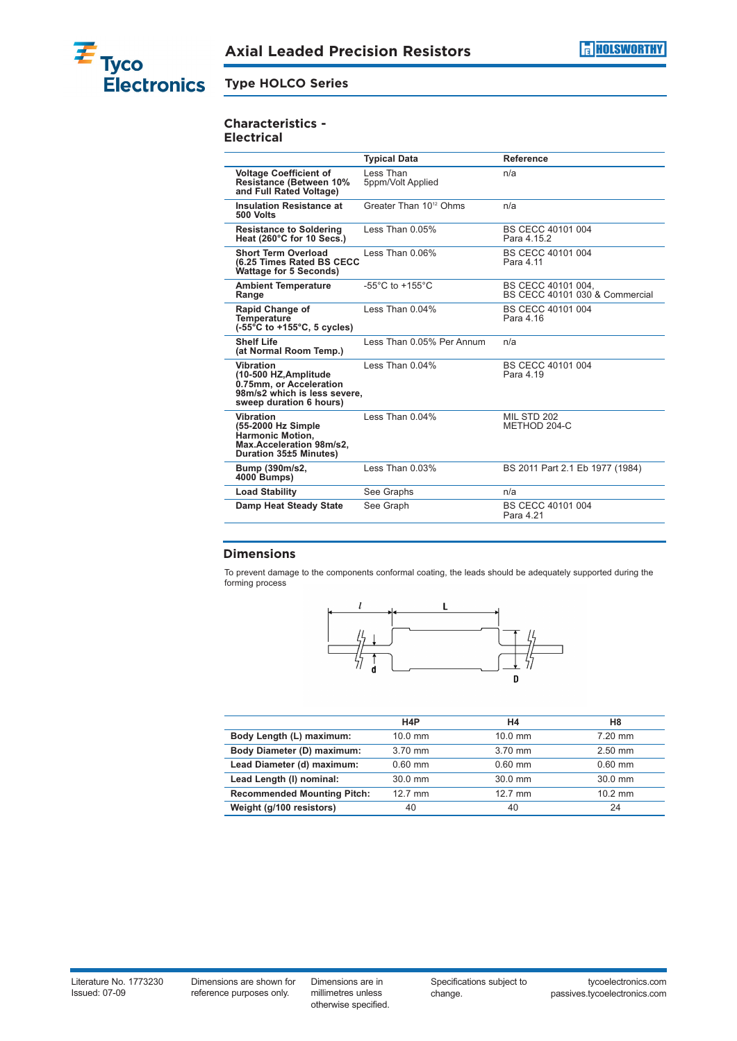

#### **Type HOLCO Series**

## **Characteristics -**

**Electrical**

|                                                                                                                                 | <b>Typical Data</b>                   | Reference                                            |
|---------------------------------------------------------------------------------------------------------------------------------|---------------------------------------|------------------------------------------------------|
| <b>Voltage Coefficient of</b><br><b>Resistance (Between 10%</b><br>and Full Rated Voltage)                                      | Less Than<br>5ppm/Volt Applied        | n/a                                                  |
| <b>Insulation Resistance at</b><br>500 Volts                                                                                    | Greater Than 10 <sup>12</sup> Ohms    | n/a                                                  |
| <b>Resistance to Soldering</b><br>Heat (260°C for 10 Secs.)                                                                     | Less Than 0.05%                       | BS CECC 40101 004<br>Para 4 15 2                     |
| <b>Short Term Overload</b><br><b>(6.25 Times Rated BS CECC</b><br><b>Wattage for 5 Seconds)</b>                                 | Less Than $0.06\%$                    | BS CECC 40101 004<br>Para 4.11                       |
| <b>Ambient Temperature</b><br>Range                                                                                             | -55 $^{\circ}$ C to +155 $^{\circ}$ C | BS CECC 40101 004.<br>BS CECC 40101 030 & Commercial |
| <b>Rapid Change of</b><br><b>Temperature</b><br>$(-55^{\circ}$ C to +155 $^{\circ}$ C, 5 cycles)                                | Less Than $0.04\%$                    | BS CECC 40101 004<br>Para 4.16                       |
| <b>Shelf Life</b><br>(at Normal Room Temp.)                                                                                     | Less Than 0.05% Per Annum             | n/a                                                  |
| <b>Vibration</b><br>(10-500 HZ, Amplitude<br>0.75mm, or Acceleration<br>98m/s2 which is less severe,<br>sweep duration 6 hours) | $l$ ess Than $0.04\%$                 | BS CECC 40101 004<br>Para 4.19                       |
| <b>Vibration</b><br>(55-2000 Hz Simple<br><b>Harmonic Motion.</b><br>Max.Acceleration 98m/s2,<br>Duration 35±5 Minutes)         | $l$ ess Than $0.04\%$                 | MIL STD 202<br>METHOD 204-C                          |
| Bump (390m/s2,<br>4000 Bumps)                                                                                                   | Less Than 0.03%                       | BS 2011 Part 2.1 Eb 1977 (1984)                      |
| <b>Load Stability</b>                                                                                                           | See Graphs                            | n/a                                                  |
| Damp Heat Steady State                                                                                                          | See Graph                             | BS CECC 40101 004<br>Para 4.21                       |

#### **Dimensions**

To prevent damage to the components conformal coating, the leads should be adequately supported during the forming process



|                                    | H <sub>4</sub> P | H4        | H <sub>8</sub> |
|------------------------------------|------------------|-----------|----------------|
| Body Length (L) maximum:           | $10.0$ mm        | $10.0$ mm | $7.20$ mm      |
| Body Diameter (D) maximum:         | $3.70$ mm        | 3.70 mm   | $2.50$ mm      |
| Lead Diameter (d) maximum:         | $0.60$ mm        | $0.60$ mm | $0.60$ mm      |
| Lead Length (I) nominal:           | $30.0$ mm        | $30.0$ mm | $30.0$ mm      |
| <b>Recommended Mounting Pitch:</b> | $12.7$ mm        | $12.7$ mm | $10.2$ mm      |
| Weight (g/100 resistors)           | 40               | 40        | 24             |